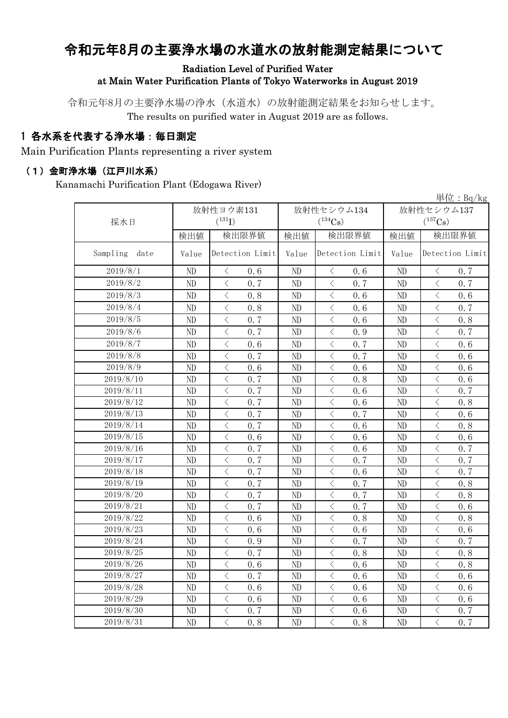# 令和元年8月の主要浄水場の水道水の放射能測定結果について

#### Radiation Level of Purified Water at Main Water Purification Plants of Tokyo Waterworks in August 2019

令和元年8月の主要浄水場の浄水(水道水)の放射能測定結果をお知らせします。 The results on purified water in August 2019 are as follows.

#### 1 各水系を代表する浄水場:毎日測定

Main Purification Plants representing a river system

#### (1)金町浄水場(江戸川水系)

Kanamachi Purification Plant (Edogawa River)

|                  |          |                                                  |       |                                                                                                                                                                                     |       | $\underline{\mathop{\rm \#}}$ 位:Bq/kg           |
|------------------|----------|--------------------------------------------------|-------|-------------------------------------------------------------------------------------------------------------------------------------------------------------------------------------|-------|-------------------------------------------------|
|                  |          | 放射性ヨウ素131                                        |       | 放射性セシウム134                                                                                                                                                                          |       | 放射性セシウム137                                      |
| 採水日              |          | $(^{131}I)$                                      |       | $(^{134}Cs)$                                                                                                                                                                        |       | $(^{137}Cs)$                                    |
|                  | 検出値      | 検出限界値                                            | 検出値   | 検出限界値                                                                                                                                                                               | 検出値   | 検出限界値                                           |
| Sampling<br>date | Value    | Detection Limit                                  | Value | Detection Limit                                                                                                                                                                     | Value | Detection Limit                                 |
| 2019/8/1         | ND       | 0.6<br>$\langle$                                 | ND    | 0.6<br>$\langle$                                                                                                                                                                    | ND    | 0.7<br>$\langle$                                |
| 2019/8/2         | ND       | $\overline{\left\langle \right\rangle }$<br>0.7  | ND    | $\langle$<br>0, 7                                                                                                                                                                   | ND    | $\langle$<br>0.7                                |
| 2019/8/3         | ND       | $\overline{\left\langle \right\rangle }$<br>0.8  | ND    | $\lt$<br>0.6                                                                                                                                                                        | ND    | $\langle$<br>0.6                                |
| 2019/8/4         | ND       | $\lt$<br>0.8                                     | ND    | $\lt$<br>0.6                                                                                                                                                                        | ND    | $\langle$<br>0.7                                |
| 2019/8/5         | ND       | $\overline{\left\langle \right\rangle }$<br>0.7  | ND    | $\overline{\left\langle \right. }% ,\left\langle \overline{\left\langle \right. }% ,\left\langle \overline{\left\langle \right. }\right\rangle \right\rangle \left. \right.$<br>0.6 | ND    | $\overline{\left\langle \right\rangle }$<br>0.8 |
| 2019/8/6         | ND       | $\lt$<br>0.7                                     | ND    | $\lt$<br>0.9                                                                                                                                                                        | ND    | $\langle$<br>0.7                                |
| 2019/8/7         | ND       | $\overline{\left\langle \right\rangle }$<br>0.6  | ND    | $\overline{\left\langle \right. }% ,\left\langle \overline{\left\langle \right. }% ,\left\langle \overline{\left\langle \right\rangle }\right\rangle \right.$<br>0.7                | ND    | $\langle$<br>0.6                                |
| 2019/8/8         | ND       | $\lt$<br>0.7                                     | ND    | $\langle$<br>0.7                                                                                                                                                                    | ND    | $\langle$<br>0.6                                |
| 2019/8/9         | ND       | $\overline{\left\langle \right\rangle }$<br>0, 6 | ND    | $\langle$<br>0.6                                                                                                                                                                    | ND    | $\langle$<br>0.6                                |
| 2019/8/10        | ND       | $\langle$<br>0.7                                 | ND    | $\hspace{0.1cm}\big\langle$<br>0.8                                                                                                                                                  | ND    | $\, \big\langle \,$<br>0.6                      |
| 2019/8/11        | ND       | $\langle$<br>0.7                                 | ND    | $\overline{\left\langle \right. }% ,\left\langle \overline{\left\langle \right. }% ,\left\langle \overline{\left\langle \right. }\right\rangle \right\rangle \left. \right.$<br>0.6 | ND    | $\lt$<br>0.7                                    |
| 2019/8/12        | ND       | $\langle$<br>0.7                                 | ND    | $\langle$<br>0.6                                                                                                                                                                    | ND    | $\langle$<br>0.8                                |
| 2019/8/13        | ND       | $\lt$<br>0.7                                     | ND    | $\bigg\langle$<br>0.7                                                                                                                                                               | ND    | $\lt$<br>0.6                                    |
| 2019/8/14        | ND       | $\overline{\left\langle \right\rangle }$<br>0.7  | ND    | $\overline{\left\langle \right. }% ,\left\langle \overline{\left\langle \right. }% ,\left\langle \overline{\left\langle \right\rangle }\right\rangle \right.$<br>0.6                | ND    | $\langle$<br>0.8                                |
| 2019/8/15        | ND       | $\overline{\left\langle \right\rangle }$<br>0, 6 | ND    | $\overline{\left\langle \right\rangle }$<br>0, 6                                                                                                                                    | ND    | $\langle$<br>0.6                                |
| 2019/8/16        | ND       | $\overline{\left\langle \right\rangle }$<br>0.7  | ND    | $\overline{\left\langle \right. }% ,\left\langle \overline{\left\langle \right. }% ,\left\langle \overline{\left\langle \right. }\right\rangle \right\rangle \left. \right.$<br>0.6 | ND    | $\lt$<br>0.7                                    |
| 2019/8/17        | ND       | $\overline{\left\langle \right\rangle }$<br>0.7  | ND    | $\lt$<br>0.7                                                                                                                                                                        | ND    | $\langle$<br>0.7                                |
| 2019/8/18        | ND       | $\overline{\left\langle \right\rangle }$<br>0.7  | ND    | $\overline{\left\langle \right\rangle }$<br>0.6                                                                                                                                     | ND    | $\langle$<br>0.7                                |
| 2019/8/19        | ND       | $\overline{\left\langle \right\rangle }$<br>0.7  | ND    | $\langle$<br>0.7                                                                                                                                                                    | ND    | $\langle$<br>0.8                                |
| 2019/8/20        | ND       | $\overline{\left\langle \right\rangle }$<br>0.7  | ND    | $\overline{\left\langle \right. }% ,\left\langle \overline{\left\langle \right. }% ,\left\langle \overline{\left\langle \right. }\right\rangle \right\rangle \left. \right.$<br>0.7 | ND    | $\langle$<br>0.8                                |
| 2019/8/21        | ND       | $\overline{\left\langle \right\rangle }$<br>0.7  | ND    | $\langle$<br>0.7                                                                                                                                                                    | ND    | $\overline{\left\langle \right\rangle }$<br>0.6 |
| 2019/8/22        | ND       | $\overline{\left\langle \right\rangle }$<br>0, 6 | ND    | $\langle$<br>0.8                                                                                                                                                                    | ND    | $\lt$<br>0.8                                    |
| 2019/8/23        | ND       | $\overline{\left\langle \right\rangle }$<br>0.6  | ND    | $\langle$<br>0.6                                                                                                                                                                    | ND    | $\lt$<br>0.6                                    |
| 2019/8/24        | ND       | $\overline{\left\langle \right\rangle }$<br>0.9  | ND    | $\langle$<br>0.7                                                                                                                                                                    | ND    | $\langle$<br>0.7                                |
| 2019/8/25        | ND       | $\lt$<br>0.7                                     | ND    | $\lt$<br>0.8                                                                                                                                                                        | ND    | $\langle$<br>0.8                                |
| 2019/8/26        | $\rm ND$ | $\lt$<br>0, 6                                    | ND    | $\,$ $\,$ $\,$<br>0.6                                                                                                                                                               | ND    | $\langle$<br>0.8                                |
| 2019/8/27        | ND       | $\langle$<br>0.7                                 | ND    | $\langle$<br>0.6                                                                                                                                                                    | ND    | $\lt$<br>0.6                                    |
| 2019/8/28        | ND       | $\lt$<br>0.6                                     | ND    | $\lt$<br>0.6                                                                                                                                                                        | ND    | $\langle$<br>0.6                                |
| 2019/8/29        | ND       | $\lt$<br>0, 6                                    | ND    | $\,$ $\,$ $\,$<br>0.6                                                                                                                                                               | ND    | $\langle$<br>0.6                                |
| 2019/8/30        | ND       | $\lt$<br>0.7                                     | ND    | $\langle$<br>0.6                                                                                                                                                                    | ND    | $\lt$<br>0.7                                    |
| 2019/8/31        | ND       | $\overline{\left\langle \right\rangle }$<br>0.8  | ND    | $\langle$<br>0.8                                                                                                                                                                    | ND    | $\langle$<br>0.7                                |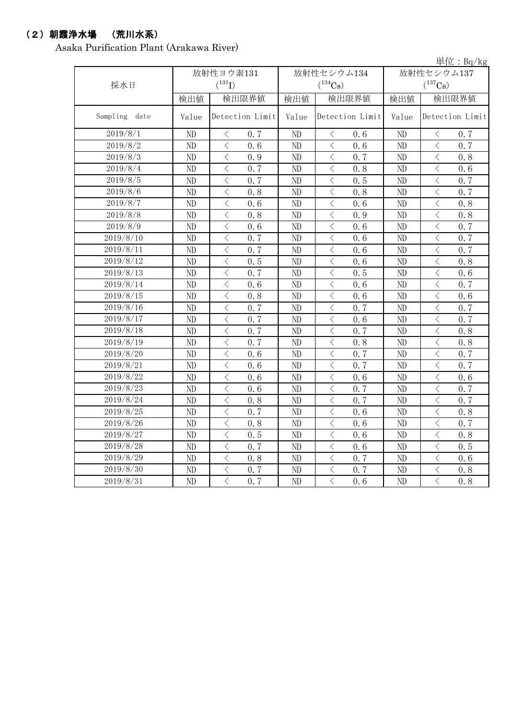### (2)朝霞浄水場 (荒川水系)

Asaka Purification Plant (Arakawa River)

|               |          |                                                 |          |                                                                                                                                                                      |          | 単位: $Bq/kg$                                     |
|---------------|----------|-------------------------------------------------|----------|----------------------------------------------------------------------------------------------------------------------------------------------------------------------|----------|-------------------------------------------------|
|               |          | 放射性ヨウ素131                                       |          | 放射性セシウム134                                                                                                                                                           |          | 放射性セシウム137                                      |
| 採水日           |          | $(^{131}I)$                                     |          | $(^{134}Cs)$                                                                                                                                                         |          | $(^{137}Cs)$                                    |
|               | 検出値      | 検出限界値                                           | 検出値      | 検出限界値                                                                                                                                                                | 検出値      | 検出限界値                                           |
| Sampling date | Value    | Detection Limit                                 | Value    | Detection Limit                                                                                                                                                      | Value    | Detection Limit                                 |
| 2019/8/1      | $\rm ND$ | $\bigl\langle$<br>0.7                           | ND       | $\lt$<br>0.6                                                                                                                                                         | $\rm ND$ | $\bigl\langle$<br>0.7                           |
| 2019/8/2      | ND       | $\langle$<br>0.6                                | ND       | $\,$ $\,$ $\,$<br>0.6                                                                                                                                                | ND       | $\langle$<br>0.7                                |
| 2019/8/3      | ND       | $\langle$<br>0.9                                | ND       | $\lt$<br>0.7                                                                                                                                                         | ND       | $\langle$<br>0.8                                |
| 2019/8/4      | ND       | $\langle$<br>0.7                                | ND       | $\lt$<br>0.8                                                                                                                                                         | ND       | $\overline{\left\langle \right\rangle }$<br>0.6 |
| 2019/8/5      | ND       | $\overline{\left\langle \right\rangle }$<br>0.7 | ND       | $\langle$<br>0.5                                                                                                                                                     | ND       | $\overline{\left\langle \right\rangle }$<br>0.7 |
| 2019/8/6      | ND       | $\overline{\left\langle \right\rangle }$<br>0.8 | ND       | $\langle$<br>0.8                                                                                                                                                     | ND       | $\overline{\left\langle \right\rangle }$<br>0.7 |
| 2019/8/7      | ND       | $\overline{\left\langle \right\rangle }$<br>0.6 | ND       | $\overline{\left\langle \right\rangle }$<br>0.6                                                                                                                      | ND       | $\overline{\left\langle \right\rangle }$<br>0.8 |
| 2019/8/8      | ND       | $\langle$<br>0.8                                | ND       | $\langle$<br>0.9                                                                                                                                                     | ND       | $\overline{\left\langle \right\rangle }$<br>0.8 |
| 2019/8/9      | ND       | $\overline{\left\langle \right\rangle }$<br>0.6 | ND       | $\langle$<br>0.6                                                                                                                                                     | ND       | $\overline{\left\langle \right\rangle }$<br>0.7 |
| 2019/8/10     | ND       | $\langle$<br>0.7                                | ND       | $\langle$<br>0.6                                                                                                                                                     | ND       | $\langle$<br>0.7                                |
| 2019/8/11     | ND       | $\langle$<br>0.7                                | ND       | $\overline{\left\langle \right. }% ,\left\langle \overline{\left\langle \right. }% ,\left\langle \overline{\left\langle \right\rangle }\right\rangle \right.$<br>0.6 | ND       | $\overline{\left\langle \right\rangle }$<br>0.7 |
| 2019/8/12     | ND       | $\overline{\left\langle \right\rangle }$<br>0.5 | ND       | $\overline{\left\langle \right. }% ,\left\langle \overline{\left\langle \right. }% ,\left\langle \overline{\left\langle \right\rangle }\right\rangle \right.$<br>0.6 | ND       | $\overline{\left\langle \right\rangle }$<br>0.8 |
| 2019/8/13     | ND       | $\overline{\left\langle \right\rangle }$<br>0.7 | ND       | $\langle$<br>0.5                                                                                                                                                     | ND       | $\overline{\left\langle \right\rangle }$<br>0.6 |
| 2019/8/14     | ND       | $\langle$<br>0, 6                               | ND       | $\langle$<br>0.6                                                                                                                                                     | ND       | $\langle$<br>0.7                                |
| 2019/8/15     | ND       | $\overline{\left\langle \right\rangle }$<br>0.8 | ND       | $\langle$<br>0.6                                                                                                                                                     | ND       | $\overline{\left\langle \right\rangle }$<br>0.6 |
| 2019/8/16     | ND       | $\overline{\langle}$<br>0.7                     | ND       | $\overline{\langle}$<br>0.7                                                                                                                                          | ND       | $\langle$<br>0.7                                |
| 2019/8/17     | ND       | $\lt$<br>0.7                                    | ND       | $\langle$<br>0, 6                                                                                                                                                    | ND       | $\langle$<br>0.7                                |
| 2019/8/18     | ND       | $\lt$<br>0.7                                    | ND       | $\langle$<br>0.7                                                                                                                                                     | ND       | $\langle$<br>0.8                                |
| 2019/8/19     | ND       | $\lt$<br>0.7                                    | ND       | $\langle$<br>0.8                                                                                                                                                     | ND       | $\langle$<br>0.8                                |
| 2019/8/20     | ND       | $\,$ $\,$ $\,$<br>0.6                           | ND       | $\,$ $\,$ $\,$<br>0.7                                                                                                                                                | $\rm ND$ | $\langle$<br>0.7                                |
| 2019/8/21     | ND       | $\overline{\left\langle \right\rangle }$<br>0.6 | ND       | $\langle$<br>0.7                                                                                                                                                     | ND       | $\langle$<br>0.7                                |
| 2019/8/22     | ND       | $\,$ $\,$ $\,$<br>0.6                           | ND       | $\overline{\left\langle \right\rangle }$<br>0.6                                                                                                                      | ND       | $\langle$<br>0.6                                |
| 2019/8/23     | ND       | $\langle$<br>0, 6                               | ND       | $\langle$<br>0.7                                                                                                                                                     | ND       | $\langle$<br>0.7                                |
| 2019/8/24     | ND       | $\langle$<br>0.8                                | ND       | $\overline{\left\langle \right\rangle }$<br>0.7                                                                                                                      | ND       | $\langle$<br>0.7                                |
| 2019/8/25     | ND       | $\lt$<br>0.7                                    | ND       | $\langle$<br>0, 6                                                                                                                                                    | ND       | $\langle$<br>0.8                                |
| 2019/8/26     | $\rm ND$ | $\langle$<br>0.8                                | $\rm ND$ | $\langle$<br>0.6                                                                                                                                                     | $\rm ND$ | $\langle$<br>0.7                                |
| 2019/8/27     | ND       | $\overline{\left\langle \right\rangle }$<br>0.5 | ND       | $\langle$<br>0.6                                                                                                                                                     | ND       | $\langle$<br>0.8                                |
| 2019/8/28     | ND       | $\langle$<br>0.7                                | ND       | $\,$ $\,$ $\,$<br>0.6                                                                                                                                                | ND       | $\langle$<br>0.5                                |
| 2019/8/29     | ND       | $\langle$<br>0.8                                | ND       | $\,$ $\,$ $\,$<br>0.7                                                                                                                                                | ND       | $\langle$<br>0.6                                |
| 2019/8/30     | ND       | $\,$ $\,$ $\,$<br>0.7                           | ND       | $\, \big\langle \,$<br>0.7                                                                                                                                           | ND       | $\,$ $\,$ $\,$<br>0.8                           |
| 2019/8/31     | ND       | $\langle$<br>0.7                                | ND       | $\langle$<br>0, 6                                                                                                                                                    | ND       | $\overline{\langle}$<br>0.8                     |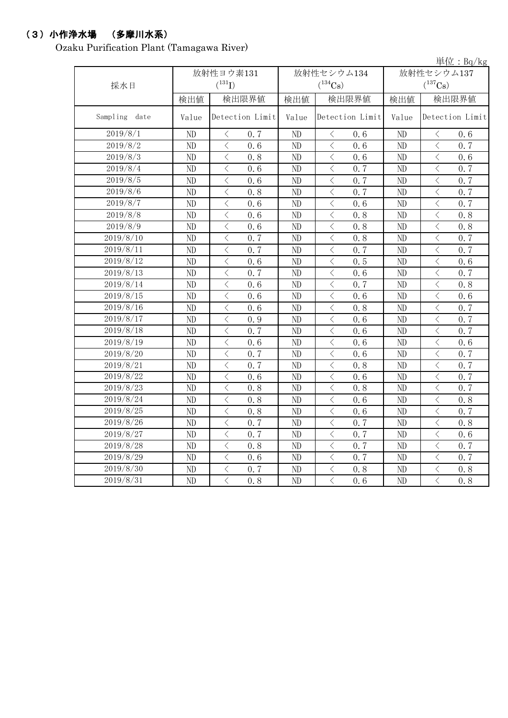### (3)小作浄水場 (多摩川水系)

Ozaku Purification Plant (Tamagawa River)

|               |          |                       |                |                                    |       | 単位: $Bq/kg$                                      |
|---------------|----------|-----------------------|----------------|------------------------------------|-------|--------------------------------------------------|
|               |          | 放射性ヨウ素131             |                | 放射性セシウム134                         |       | 放射性セシウム137                                       |
| 採水日           |          | $(^{131}I)$           |                | $(^{134}Cs)$                       |       | $(^{137}\mathrm{Cs})$                            |
|               | 検出値      | 検出限界値                 | 検出値            | 検出限界値                              | 検出値   | 検出限界値                                            |
| Sampling date | Value    | Detection Limit       | Value          | Detection Limit                    | Value | Detection Limit                                  |
| 2019/8/1      | ND       | $\,$ $\,$ $\,$<br>0.7 | ND             | $\,$ $\,$ $\,$<br>0.6              | ND    | $\hspace{0.5cm}\big\langle$<br>0.6               |
| 2019/8/2      | ND       | $\langle$<br>0.6      | ND             | $\langle$<br>0.6                   | ND    | $\overline{\left\langle \right\rangle }$<br>0.7  |
| 2019/8/3      | ND       | $\lt$<br>0.8          | ND             | $\langle$<br>0.6                   | ND    | $\lt$<br>0.6                                     |
| 2019/8/4      | ND       | $\lt$<br>0, 6         | ND             | $\langle$<br>0.7                   | ND    | $\lt$<br>0.7                                     |
| 2019/8/5      | ND       | $\lt$<br>0.6          | ND             | $\langle$<br>0.7                   | ND    | $\lt$<br>0.7                                     |
| 2019/8/6      | $\rm ND$ | $\lt$<br>0.8          | ND             | $\langle$<br>0.7                   | ND    | $\lt$<br>0.7                                     |
| 2019/8/7      | ND       | $\lt$<br>0.6          | ND             | $\langle$<br>0.6                   | ND    | $\lt$<br>0.7                                     |
| 2019/8/8      | ND       | $\langle$<br>0.6      | ND             | $\langle$<br>0.8                   | ND    | $\langle$<br>0.8                                 |
| 2019/8/9      | ND       | $\langle$<br>0.6      | ND             | $\langle$<br>0.8                   | ND    | $\langle$<br>0.8                                 |
| 2019/8/10     | ND       | $\langle$<br>0.7      | ND             | $\langle$<br>0.8                   | ND    | $\overline{\left\langle \right\rangle }$<br>0.7  |
| 2019/8/11     | $\rm ND$ | $\lt$<br>0.7          | ND             | $\lt$<br>0.7                       | ND    | $\lt$<br>0.7                                     |
| 2019/8/12     | ND       | $\lt$<br>0.6          | ND             | $\lt$<br>0.5                       | ND    | $\lt$<br>0.6                                     |
| 2019/8/13     | ND       | $\lt$<br>0.7          | ND             | $\lt$<br>0.6                       | ND    | $\lt$<br>0.7                                     |
| 2019/8/14     | $\rm ND$ | $\lt$<br>0, 6         | ND             | $\lt$<br>0.7                       | ND    | $\lt$<br>0.8                                     |
| 2019/8/15     | $\rm ND$ | $\lt$<br>0.6          | ND             | $\lt$<br>0.6                       | ND    | $\lt$<br>0.6                                     |
| 2019/8/16     | ND       | $\lt$<br>0.6          | ND             | $\langle$<br>0.8                   | ND    | $\lt$<br>0.7                                     |
| 2019/8/17     | ND       | $\lt$<br>0.9          | ND             | $\lt$<br>0.6                       | ND    | $\lt$<br>0.7                                     |
| 2019/8/18     | $\rm ND$ | $\,$ $\,$ $\,$<br>0.7 | ND             | $\hspace{0.5cm}\big\langle$<br>0.6 | ND    | $\langle$<br>0.7                                 |
| 2019/8/19     | $\rm ND$ | $\,$ $\,$ $\,$<br>0.6 | ND             | $\hspace{0.5cm}\big\langle$<br>0.6 | ND    | $\,$ $\,$ $\,$<br>0.6                            |
| 2019/8/20     | ND       | $\lt$<br>0.7          | ND             | $\lt$<br>0.6                       | ND    | $\lt$<br>0.7                                     |
| 2019/8/21     | ND       | $\lt$<br>0.7          | ND             | $\lt$<br>0.8                       | ND    | $\lt$<br>0.7                                     |
| 2019/8/22     | ND       | $\lt$<br>0.6          | ND             | $\langle$<br>0.6                   | ND    | $\lt$<br>0.7                                     |
| 2019/8/23     | ND       | $\langle$<br>0.8      | ND             | $\langle$<br>0.8                   | ND    | $\overline{\left\langle \right\rangle }$<br>0.7  |
| 2019/8/24     | ND       | $\lt$<br>0.8          | ND             | $\langle$<br>0.6                   | ND    | $\lt$<br>0.8                                     |
| 2019/8/25     | ND       | $\lt$<br>0.8          | ND             | $\langle$<br>0.6                   | ND    | $\lt$<br>0.7                                     |
| 2019/8/26     | ND       | $\langle$<br>0.7      | ND             | $\langle$<br>0.7                   | ND    | $\langle$<br>0, 8                                |
| 2019/8/27     | ND       | $\langle$<br>0.7      | ND             | $\langle$<br>0.7                   | ND    | $\lt$<br>0.6                                     |
| 2019/8/28     | ND       | $\langle$<br>0.8      | ND             | $\langle$<br>0.7                   | ND    | $\langle$<br>0.7                                 |
| 2019/8/29     | ND       | $\langle$<br>0.6      | ND             | $\langle$<br>0.7                   | ND    | $\overline{\left\langle \right\rangle }$<br>0.7  |
| 2019/8/30     | ND       | $\langle$<br>0.7      | N <sub>D</sub> | $\, \big\langle \,$<br>0.8         | ND    | $\langle$<br>0.8                                 |
| 2019/8/31     | ND       | $\langle$<br>0.8      | ND             | $\langle$<br>0, 6                  | ND    | $\overline{\left\langle \right\rangle }$<br>0, 8 |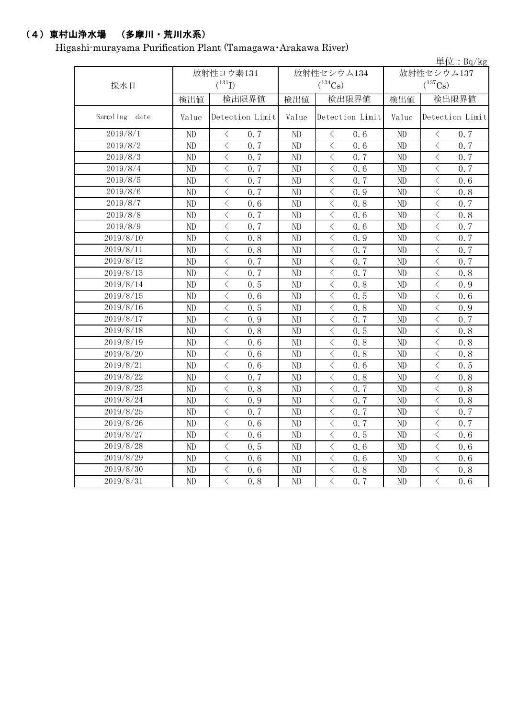## (4)東村山浄水場 (多摩川・荒川水系)

Higashi-murayama Purification Plant (Tamagawa・Arakawa River)

|                  |           |                                                 |                |                                                                                                                                                                      |            | 単位: $Bq/kg$                                     |  |
|------------------|-----------|-------------------------------------------------|----------------|----------------------------------------------------------------------------------------------------------------------------------------------------------------------|------------|-------------------------------------------------|--|
|                  | 放射性ヨウ素131 |                                                 |                | 放射性セシウム134                                                                                                                                                           | 放射性セシウム137 |                                                 |  |
| 採水日              |           | $(^{131}I)$                                     |                | $(^{134}Cs)$                                                                                                                                                         |            | $(^{137}\mathrm{Cs})$                           |  |
|                  | 検出値       | 検出限界値                                           | 検出値            | 検出限界値                                                                                                                                                                | 検出値        | 検出限界値                                           |  |
| Sampling<br>date | Value     | Detection Limit                                 | Value          | Detection Limit                                                                                                                                                      | Value      | Detection Limit                                 |  |
| 2019/8/1         | ND        | 0.7<br>$\langle$                                | ND             | $\big\langle$<br>0.6                                                                                                                                                 | ND         | $\, <\,$<br>0.7                                 |  |
| 2019/8/2         | ND        | $\,$ $\,$ $\,$<br>0.7                           | ND             | $\big\langle$<br>0.6                                                                                                                                                 | ND         | 0.7<br>$\lt$                                    |  |
| 2019/8/3         | ND        | $\,$ $\,$ $\,$<br>0.7                           | ND             | 0.7<br>$\big\langle$                                                                                                                                                 | ND         | 0.7<br>$\lt$                                    |  |
| 2019/8/4         | ND        | $\,$ $\,$ $\,$<br>0.7                           | ND             | $\lt$<br>0.6                                                                                                                                                         | ND         | $\lt$<br>0.7                                    |  |
| 2019/8/5         | ND        | $\lt$<br>0.7                                    | ND             | $\lt$<br>0.7                                                                                                                                                         | ND         | $\lt$<br>0.6                                    |  |
| 2019/8/6         | ND        | $\,$ $\,$ $\,$<br>0.7                           | ND             | 0.9<br>$\lt$                                                                                                                                                         | ND         | $\lt$<br>0.8                                    |  |
| 2019/8/7         | ND        | $\lt$<br>0.6                                    | ND             | $\lt$<br>0.8                                                                                                                                                         | ND         | $\lt$<br>0.7                                    |  |
| 2019/8/8         | ND        | $\lt$<br>0.7                                    | ND             | $\langle$<br>0.6                                                                                                                                                     | ND         | $\langle$<br>0.8                                |  |
| 2019/8/9         | ND        | $\langle$<br>0.7                                | ND             | $\lt$<br>0.6                                                                                                                                                         | ND         | $\langle$<br>0.7                                |  |
| 2019/8/10        | ND        | $\lt$<br>0.8                                    | ND             | $\lt$<br>0.9                                                                                                                                                         | ND         | $\lt$<br>0.7                                    |  |
| 2019/8/11        | ND        | $\lt$<br>0.8                                    | ND             | $\langle$<br>0.7                                                                                                                                                     | ND         | $\langle$<br>0.7                                |  |
| 2019/8/12        | ND        | $\lt$<br>0.7                                    | ND             | $\lt$<br>0.7                                                                                                                                                         | ND         | $\,$ $\,$ $\,$<br>0.7                           |  |
| 2019/8/13        | ND        | $\lt$<br>0.7                                    | ND             | $\lt$<br>0.7                                                                                                                                                         | ND         | $\lt$<br>0, 8                                   |  |
| 2019/8/14        | ND        | $\lt$<br>0.5                                    | ND             | $\lt$<br>0.8                                                                                                                                                         | ND         | $\lt$<br>0.9                                    |  |
| 2019/8/15        | ND        | $\lt$<br>0.6                                    | ND             | $\langle$<br>0.5                                                                                                                                                     | ND         | $\lt$<br>0.6                                    |  |
| 2019/8/16        | ND        | $\lt$<br>0.5                                    | ND             | $\langle$<br>0.8                                                                                                                                                     | ND         | $\lt$<br>0.9                                    |  |
| 2019/8/17        | ND        | $\lt$<br>0.9                                    | ND             | $\lt$<br>0.7                                                                                                                                                         | ND         | $\lt$<br>0.7                                    |  |
| 2019/8/18        | ND        | $\lt$<br>0.8                                    | ND             | $\lt$<br>0.5                                                                                                                                                         | ND         | $\lt$<br>0.8                                    |  |
| 2019/8/19        | ND        | $\lt$<br>0.6                                    | ND             | $\lt$<br>0.8                                                                                                                                                         | ND         | $\lt$<br>0.8                                    |  |
| 2019/8/20        | ND        | $\,$ $\,$ $\,$<br>0.6                           | ND             | $\lt$<br>0.8                                                                                                                                                         | ND         | $\lt$<br>0.8                                    |  |
| 2019/8/21        | ND        | $\lt$<br>0.6                                    | ND             | $\lt$<br>0.6                                                                                                                                                         | ND         | $\lt$<br>0.5                                    |  |
| 2019/8/22        | ND        | $\langle$<br>0.7                                | ND             | $\lt$<br>0.8                                                                                                                                                         | ND         | $\lt$<br>0.8                                    |  |
| 2019/8/23        | ND        | $\langle$<br>0.8                                | ND             | $\lt$<br>0.7                                                                                                                                                         | ND         | $\langle$<br>0.8                                |  |
| 2019/8/24        | ND        | $\langle$<br>0.9                                | ND             | $\lt$<br>0.7                                                                                                                                                         | ND         | $\langle$<br>0.8                                |  |
| 2019/8/25        | ND        | $\langle$<br>0.7                                | ND             | $\overline{\left\langle \right\rangle }$<br>0.7                                                                                                                      | ND         | $\langle$<br>0.7                                |  |
| 2019/8/26        | ND        | $\overline{\left\langle \right\rangle }$<br>0.6 | ND             | $\overline{\left\langle \right\rangle }$<br>0.7                                                                                                                      | ND         | $\overline{\left\langle \right\rangle }$<br>0.7 |  |
| 2019/8/27        | ND        | $\overline{\left\langle \right\rangle }$<br>0.6 | ND             | $\overline{\left\langle \right\rangle }$<br>0.5                                                                                                                      | ND         | $\langle$<br>0.6                                |  |
| 2019/8/28        | ND        | $\langle$<br>0.5                                | ND             | $\overline{\left\langle \right. }% ,\left\langle \overline{\left\langle \right. }% ,\left\langle \overline{\left\langle \right\rangle }\right\rangle \right.$<br>0.6 | ND         | $\langle$<br>0.6                                |  |
| 2019/8/29        | ND        | $\lt$<br>0.6                                    | ND             | $\overline{\left\langle \right. }% ,\left\langle \overline{\left\langle \right. }% ,\left\langle \overline{\left\langle \right\rangle }\right\rangle \right.$<br>0.6 | $\rm ND$   | $\lt$<br>0.6                                    |  |
| 2019/8/30        | ND        | $\langle$<br>0.6                                | ND             | $\hspace{0.1cm}\big\langle$<br>0.8                                                                                                                                   | ND         | $\langle$<br>0, 8                               |  |
| 2019/8/31        | ND        | $\overline{\left\langle \right\rangle }$<br>0.8 | N <sub>D</sub> | $\overline{\left\langle \right\rangle }$<br>0.7                                                                                                                      | ND         | $\overline{\left\langle \right\rangle }$<br>0.6 |  |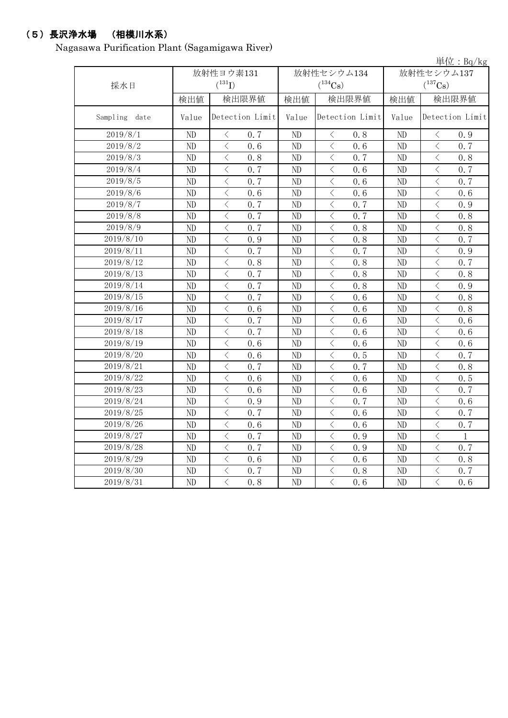### (5)長沢浄水場 (相模川水系)

Nagasawa Purification Plant (Sagamigawa River)

|               |          |                                                 |       |                                                                                                                                                                      |       | 単位: $Bq/kg$                                      |  |
|---------------|----------|-------------------------------------------------|-------|----------------------------------------------------------------------------------------------------------------------------------------------------------------------|-------|--------------------------------------------------|--|
|               |          | 放射性ヨウ素131                                       |       | 放射性セシウム134                                                                                                                                                           |       | 放射性セシウム137                                       |  |
| 採水日           |          | $(^{131}I)$                                     |       | $(^{134}\mathrm{Cs})$                                                                                                                                                |       | $(^{137}\mathrm{Cs})$                            |  |
|               | 検出値      | 検出限界値                                           | 検出値   | 検出限界値                                                                                                                                                                | 検出値   | 検出限界値                                            |  |
| Sampling date | Value    | Detection Limit                                 | Value | Detection Limit                                                                                                                                                      | Value | Detection Limit                                  |  |
| 2019/8/1      | ND       | $\langle$<br>0.7                                | ND    | $\langle$<br>0, 8                                                                                                                                                    | ND    | $\,$ $\,$ $\,$<br>0.9                            |  |
| 2019/8/2      | ND       | $\overline{\left\langle \right\rangle }$<br>0.6 | ND    | $\langle$<br>0.6                                                                                                                                                     | ND    | $\langle$<br>0.7                                 |  |
| 2019/8/3      | ND       | $\overline{\left\langle \right\rangle }$<br>0.8 | ND    | $\langle$<br>0.7                                                                                                                                                     | ND    | $\langle$<br>0.8                                 |  |
| 2019/8/4      | ND       | $\overline{\left\langle \right\rangle }$<br>0.7 | ND    | $\overline{\left\langle \right\rangle }$<br>0.6                                                                                                                      | ND    | $\langle$<br>0.7                                 |  |
| 2019/8/5      | ND       | $\lt$<br>0.7                                    | ND    | $\lt$<br>0.6                                                                                                                                                         | ND    | $\langle$<br>0.7                                 |  |
| 2019/8/6      | $\rm ND$ | $\langle$<br>0.6                                | ND    | $\langle$<br>0.6                                                                                                                                                     | ND    | $\langle$<br>0.6                                 |  |
| 2019/8/7      | ND       | $\overline{\left\langle \right\rangle }$<br>0.7 | ND    | $\langle$<br>0.7                                                                                                                                                     | ND    | $\langle$<br>0.9                                 |  |
| 2019/8/8      | $\rm ND$ | $\overline{\left\langle \right\rangle }$<br>0.7 | ND    | $\overline{\left\langle \right\rangle }$<br>0.7                                                                                                                      | ND    | $\langle$<br>0, 8                                |  |
| 2019/8/9      | ND       | $\langle$<br>0.7                                | ND    | $\langle$<br>0.8                                                                                                                                                     | ND    | $\langle$<br>0.8                                 |  |
| 2019/8/10     | ND       | $\langle$<br>0.9                                | ND    | $\overline{\left\langle \right\rangle }$<br>0.8                                                                                                                      | ND    | $\langle$<br>0.7                                 |  |
| 2019/8/11     | ND       | $\lt$<br>0.7                                    | ND    | $\langle$<br>0.7                                                                                                                                                     | ND    | $\langle$<br>0.9                                 |  |
| 2019/8/12     | ND       | $\overline{\left\langle \right\rangle }$<br>0.8 | ND    | $\overline{\left\langle \right\rangle }$<br>0.8                                                                                                                      | ND    | $\langle$<br>0.7                                 |  |
| 2019/8/13     | ND       | $\langle$<br>0.7                                | ND    | $\langle$<br>0.8                                                                                                                                                     | ND    | $\langle$<br>0, 8                                |  |
| 2019/8/14     | ND       | $\langle$<br>0.7                                | ND    | $\overline{\langle}$<br>0.8                                                                                                                                          | ND    | $\overline{\langle}$<br>0.9                      |  |
| 2019/8/15     | ND       | $\overline{\left\langle \right\rangle }$<br>0.7 | ND    | $\langle$<br>0.6                                                                                                                                                     | ND    | $\overline{\langle}$<br>0.8                      |  |
| 2019/8/16     | ND       | $\overline{\left\langle \right\rangle }$<br>0.6 | ND    | $\overline{\left\langle \right\rangle }$<br>0.6                                                                                                                      | ND    | $\langle$<br>0, 8                                |  |
| 2019/8/17     | ND       | $\overline{\left\langle \right\rangle }$<br>0.7 | ND    | $\overline{\left\langle \right\rangle }$<br>0.6                                                                                                                      | ND    | $\langle$<br>0.6                                 |  |
| 2019/8/18     | ND       | $\overline{\left\langle \right\rangle }$<br>0.7 | ND    | $\langle$<br>0.6                                                                                                                                                     | ND    | $\langle$<br>0.6                                 |  |
| 2019/8/19     | ND       | $\overline{\left\langle \right\rangle }$<br>0.6 | ND    | $\overline{\left\langle \right\rangle }$<br>0.6                                                                                                                      | ND    | $\overline{\left\langle \right\rangle }$<br>0, 6 |  |
| 2019/8/20     | ND       | $\overline{\left\langle \right\rangle }$<br>0.6 | ND    | $\overline{\left\langle \right\rangle }$<br>0.5                                                                                                                      | ND    | $\langle$<br>0.7                                 |  |
| 2019/8/21     | ND       | $\overline{\left\langle \right\rangle }$<br>0.7 | ND    | $\langle$<br>0.7                                                                                                                                                     | ND    | $\langle$<br>0.8                                 |  |
| 2019/8/22     | ND       | $\langle$<br>0.6                                | ND    | $\lt$<br>0.6                                                                                                                                                         | ND    | $\,$ $\,$ $\,$<br>0.5                            |  |
| 2019/8/23     | ND       | $\overline{\left\langle \right\rangle }$<br>0.6 | ND    | $\lt$<br>0.6                                                                                                                                                         | ND    | $\,$ $\,$ $\,$<br>0.7                            |  |
| 2019/8/24     | ND       | $\overline{\left\langle \right\rangle }$<br>0.9 | ND    | $\lt$<br>0.7                                                                                                                                                         | ND    | $\langle$<br>0.6                                 |  |
| 2019/8/25     | ND       | $\overline{\langle}$<br>0.7                     | ND    | $\langle$<br>0.6                                                                                                                                                     | ND    | $\overline{\langle}$<br>0.7                      |  |
| 2019/8/26     | ND       | $\,$ $\,$ $\,$<br>0.6                           | ND    | $\langle$<br>0.6                                                                                                                                                     | ND    | $\,$ $\,$ $\,$<br>0.7                            |  |
| 2019/8/27     | ND       | $\overline{\left\langle \right\rangle }$<br>0.7 | ND    | $\overline{\left\langle \right. }% ,\left\langle \overline{\left\langle \right. }% ,\left\langle \overline{\left\langle \right\rangle }\right\rangle \right.$<br>0.9 | ND    | $\lt$<br>$\mathbf{1}$                            |  |
| 2019/8/28     | ND       | $\overline{\left\langle \right\rangle }$<br>0.7 | ND    | $\overline{\left\langle \right\rangle }$<br>0.9                                                                                                                      | ND    | $\langle$<br>0.7                                 |  |
| 2019/8/29     | ND       | $\langle$<br>0.6                                | ND    | $\langle$<br>0.6                                                                                                                                                     | ND    | $\langle$<br>0.8                                 |  |
| 2019/8/30     | ND       | $\overline{\left\langle \right\rangle }$<br>0.7 | ND    | $\overline{\left\langle \right\rangle }$<br>0.8                                                                                                                      | ND    | $\overline{\left\langle \right\rangle }$<br>0.7  |  |
| 2019/8/31     | ND       | $\overline{\langle}$<br>0.8                     | ND    | $\overline{\langle}$<br>0.6                                                                                                                                          | ND    | $\overline{\langle}$<br>0, 6                     |  |